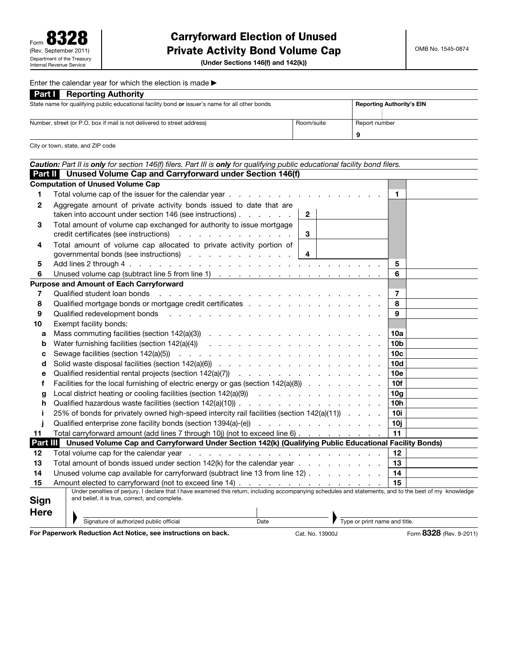(Under Sections 146(f) and 142(k))

#### Enter the calendar year for which the election is made  $\blacktriangleright$

| <b>Part Reporting Authority</b>                                                                 |            |                                  |  |  |  |
|-------------------------------------------------------------------------------------------------|------------|----------------------------------|--|--|--|
| State name for qualifying public educational facility bond or issuer's name for all other bonds |            | <b>Reporting Authority's EIN</b> |  |  |  |
|                                                                                                 |            |                                  |  |  |  |
| Number, street (or P.O. box if mail is not delivered to street address)                         | Room/suite | Report number                    |  |  |  |
|                                                                                                 |            | a                                |  |  |  |

City or town, state, and ZIP code

|             | Caution: Part II is only for section 146(f) filers. Part III is only for qualifying public educational facility bond filers.                                                                                                   |                         |
|-------------|--------------------------------------------------------------------------------------------------------------------------------------------------------------------------------------------------------------------------------|-------------------------|
|             | Part II Unused Volume Cap and Carryforward under Section 146(f)                                                                                                                                                                |                         |
|             | <b>Computation of Unused Volume Cap</b>                                                                                                                                                                                        |                         |
| 1           | Total volume cap of the issuer for the calendar year                                                                                                                                                                           | $\mathbf 1$             |
| 2           | Aggregate amount of private activity bonds issued to date that are                                                                                                                                                             |                         |
|             | taken into account under section 146 (see instructions)<br>$\mathbf{2}$                                                                                                                                                        |                         |
| 3           | Total amount of volume cap exchanged for authority to issue mortgage<br>credit certificates (see instructions)<br>3                                                                                                            |                         |
| 4           | Total amount of volume cap allocated to private activity portion of                                                                                                                                                            |                         |
|             | governmental bonds (see instructions)<br>4                                                                                                                                                                                     |                         |
| 5           |                                                                                                                                                                                                                                | 5                       |
| 6           |                                                                                                                                                                                                                                | 6                       |
|             | <b>Purpose and Amount of Each Carryforward</b>                                                                                                                                                                                 |                         |
| 7           | Qualified student loan bonds<br>and a series of the contract of the contract of the contract of the contract of the contract of the contract of                                                                                | $\overline{7}$          |
| 8           |                                                                                                                                                                                                                                | 8                       |
| 9           | Qualified redevelopment bonds                                                                                                                                                                                                  | 9                       |
| 10          | Exempt facility bonds:                                                                                                                                                                                                         |                         |
| a           |                                                                                                                                                                                                                                | 10a                     |
| b           |                                                                                                                                                                                                                                | 10b                     |
| C           |                                                                                                                                                                                                                                | 10 <sub>c</sub>         |
| d           |                                                                                                                                                                                                                                | 10d                     |
| e           |                                                                                                                                                                                                                                | 10e                     |
| f           | Facilities for the local furnishing of electric energy or gas (section $142(a)(8)$ ).                                                                                                                                          | 10f                     |
| g           |                                                                                                                                                                                                                                | 10 <sub>g</sub>         |
| h           |                                                                                                                                                                                                                                | 10 <sub>h</sub>         |
| j.          | 25% of bonds for privately owned high-speed intercity rail facilities (section 142(a)(11))                                                                                                                                     | 10i                     |
|             | Qualified enterprise zone facility bonds (section 1394(a)-(e) contained a contained on the containing of the containing of the containing of the containing of the containing of the containing of the containing of the conta | 10i                     |
| 11          | Total carryforward amount (add lines 7 through 10j) (not to exceed line 6)                                                                                                                                                     | 11                      |
|             | Part III Unused Volume Cap and Carryforward Under Section 142(k) (Qualifying Public Educational Facility Bonds)                                                                                                                |                         |
| 12          |                                                                                                                                                                                                                                | 12                      |
| 13          |                                                                                                                                                                                                                                | 13                      |
| 14          | Unused volume cap available for carryforward (subtract line 13 from line 12)                                                                                                                                                   | 14                      |
| 15          |                                                                                                                                                                                                                                | 15                      |
|             | and belief, it is true, correct, and complete.                                                                                                                                                                                 |                         |
| <b>Sign</b> |                                                                                                                                                                                                                                |                         |
| <b>Here</b> |                                                                                                                                                                                                                                |                         |
|             | Type or print name and title.<br>Signature of authorized public official<br>Date                                                                                                                                               |                         |
|             | For Paperwork Reduction Act Notice, see instructions on back.<br>Cat. No. 13900J                                                                                                                                               | Form 8328 (Rev. 9-2011) |